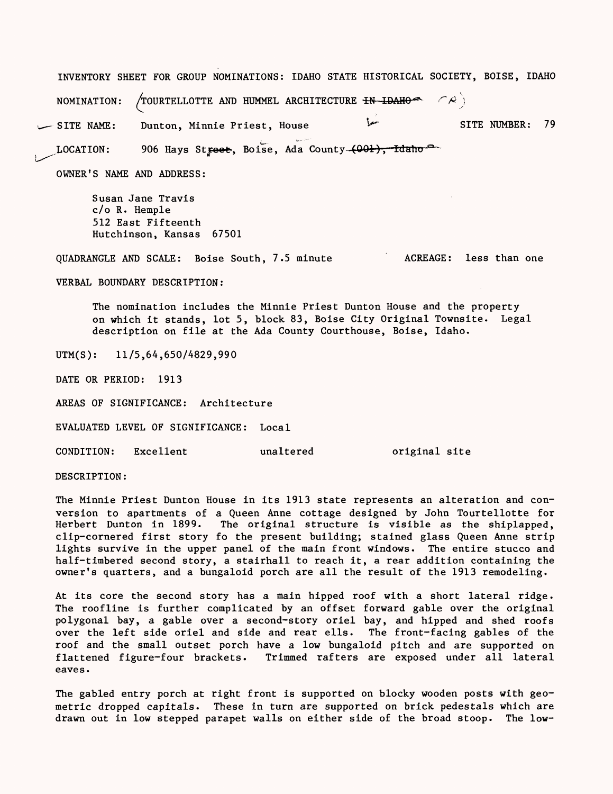INVENTORY SHEET FOR GROUP NOMINATIONS: IDAHO STATE HISTORICAL SOCIETY, BOISE, IDAHO NOMINATION: /TOURTELLOTTE AND HUMMEL ARCHITECTURE  $\text{H}\text{N}\text{-}\text{D}\text{A}\text{H}\text{O}$  and  $\text{C}\text{R}$  j

SITE NAME: Dunton, Minnie Priest, House ^\* SITE NUMBER: 79 LOCATION: 906 Hays Street, Boise, Ada County-(001), Idaho<sup>c</sup>

OWNER'S NAME AND ADDRESS:

Susan Jane Travis c/o R. Hemple 512 East Fifteenth Hutchinson, Kansas 67501

QUADRANGLE AND SCALE: Boise South, 7.5 minute ACREAGE: less than one

VERBAL BOUNDARY DESCRIPTION:

The nomination includes the Minnie Priest Dunton House and the property on which it stands, lot 5, block 83, Boise City Original Townsite. Legal description on file at the Ada County Courthouse, Boise, Idaho.

UTM(S): 11/5,64,650/4829,990

DATE OR PERIOD: 1913

AREAS OF SIGNIFICANCE: Architecture

EVALUATED LEVEL OF SIGNIFICANCE: Local

CONDITION: Excellent unaltered original site

DESCRIPTION:

The Minnie Priest Dunton House in its 1913 state represents an alteration and conversion to apartments of a Queen Anne cottage designed by John Tourtellotte for Herbert Dunton in 1899. The original structure is visible as the shiplapped, clip-cornered first story fo the present building; stained glass Queen Anne strip lights survive in the upper panel of the main front windows. The entire stucco and half-timbered second story, a stairhall to reach it, a rear addition containing the owner's quarters, and a bungaloid porch are all the result of the 1913 remodeling.

At its core the second story has a main hipped roof with a short lateral ridge. The roofline is further complicated by an offset forward gable over the original polygonal bay, a gable over a second-story oriel bay, and hipped and shed roofs over the left side oriel and side and rear ells. The front-facing gables of the roof and the small outset porch have a low bungaloid pitch and are supported on flattened figure-four brackets. Trimmed rafters are exposed under all lateral eaves.

The gabled entry porch at right front is supported on blocky wooden posts with geometric dropped capitals. These in turn are supported on brick pedestals which are drawn out in low stepped parapet walls on either side of the broad stoop. The low-